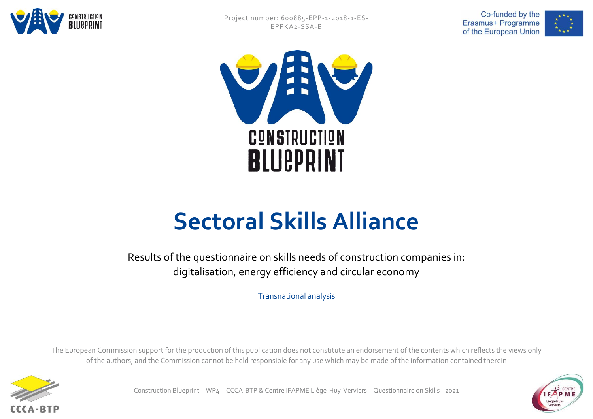







#### **Sectoral Skills Alliance**

Results of the questionnaire on skills needs of construction companies in: digitalisation, energy efficiency and circular economy

Transnational analysis

The European Commission support for the production of this publication does not constitute an endorsement of the contents which reflects the views only of the authors, and the Commission cannot be held responsible for any use which may be made of the information contained therein



Construction Blueprint – WP4 – CCCA-BTP & Centre IFAPME Liège-Huy-Verviers – Questionnaire on Skills - 2021

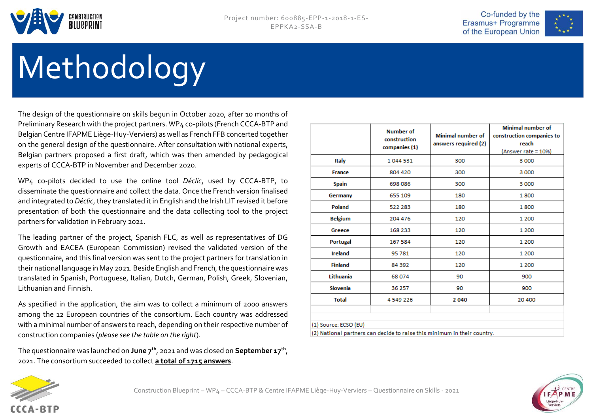



## Methodology

The design of the questionnaire on skills begun in October 2020, after 10 months of Preliminary Research with the project partners. WP4 co-pilots (French CCCA-BTP and Belgian Centre IFAPME Liège-Huy-Verviers) as well as French FFB concerted together on the general design of the questionnaire. After consultation with national experts, Belgian partners proposed a first draft, which was then amended by pedagogical experts of CCCA-BTP in November and December 2020.

WP4 co-pilots decided to use the online tool *Déclic*, used by CCCA-BTP, to disseminate the questionnaire and collect the data. Once the French version finalised and integrated to *Déclic*, they translated it in English and the Irish LIT revised it before presentation of both the questionnaire and the data collecting tool to the project partners for validation in February 2021.

The leading partner of the project, Spanish FLC, as well as representatives of DG Growth and EACEA (European Commission) revised the validated version of the questionnaire, and this final version was sent to the project partners for translation in their national language in May 2021. Beside English and French, the questionnaire was translated in Spanish, Portuguese, Italian, Dutch, German, Polish, Greek, Slovenian, Lithuanian and Finnish.

As specified in the application, the aim was to collect a minimum of 2000 answers among the 12 European countries of the consortium. Each country was addressed with a minimal number of answers to reach, depending on their respective number of construction companies (*please see the table on the right*).

The questionnaire was launched on **June 7th**, 2021 and was closed on **September 17th** , 2021. The consortium succeeded to collect **a total of 1715 answers**.

|                | <b>Number of</b><br>construction<br>companies (1) | <b>Minimal number of</b><br>answers required (2) | <b>Minimal number of</b><br>construction companies to<br>reach<br>(Answer rate = 10%) |  |
|----------------|---------------------------------------------------|--------------------------------------------------|---------------------------------------------------------------------------------------|--|
| Italy          | 1044531                                           | 300                                              | 3 000                                                                                 |  |
| France         | 804 420                                           | 300                                              | 3 000                                                                                 |  |
| Spain          | 698 086                                           | 300                                              | 3 000                                                                                 |  |
| Germany        | 655 109                                           | 180                                              | 1800                                                                                  |  |
| Poland         | 522 283                                           | 180                                              | 1800                                                                                  |  |
| <b>Belgium</b> | 204 476                                           | 120                                              | 1 200                                                                                 |  |
| Greece         | 168 233                                           | 120                                              | 1 200                                                                                 |  |
| Portugal       | 167 584                                           | 120                                              | 1 2 0 0                                                                               |  |
| <b>Ireland</b> | 95 781                                            | 120                                              | 1 2 0 0                                                                               |  |
| <b>Finland</b> | 84 392                                            | 120                                              | 1 200                                                                                 |  |
| Lithuania      | 68 074                                            | 90                                               | 900                                                                                   |  |
| Slovenia       | 36 257                                            | 90                                               | 900                                                                                   |  |
| <b>Total</b>   | 4 549 226                                         | 2040                                             | 20 400                                                                                |  |



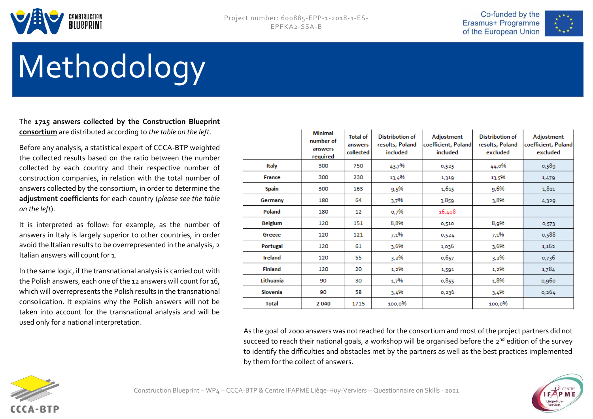



## Methodology

#### The **1715 answers collected by the Construction Blueprint consortium** are distributed according to *the table on the left*.

Before any analysis, a statistical expert of CCCA-BTP weighted the collected results based on the ratio between the number collected by each country and their respective number of construction companies, in relation with the total number of answers collected by the consortium, in order to determine the **adjustment coefficients** for each country (*please see the table on the left*).

It is interpreted as follow: for example, as the number of answers in Italy is largely superior to other countries, in order avoid the Italian results to be overrepresented in the analysis, 2 Italian answers will count for 1.

In the same logic, if the transnational analysis is carried out with the Polish answers, each one of the 12 answers will count for 16, which will overrepresents the Polish results in the transnational consolidation. It explains why the Polish answers will not be taken into account for the transnational analysis and will be used only for a national interpretation.

|                | <b>Minimal</b><br>number of<br>answers<br>required | <b>Total of</b><br>answers<br>collected | <b>Distribution of</b><br>results, Poland<br>included | Adjustment<br>coefficient, Poland<br>included | <b>Distribution of</b><br>results, Poland<br>excluded | Adjustment<br>coefficient, Poland<br>excluded |
|----------------|----------------------------------------------------|-----------------------------------------|-------------------------------------------------------|-----------------------------------------------|-------------------------------------------------------|-----------------------------------------------|
| Italy          | 300                                                | 750                                     | 43,7%                                                 | 0,525                                         | 44,0%                                                 | 0,589                                         |
| France         | 300                                                | 230                                     | 13,4%                                                 | 1,319                                         | 13,5%                                                 | 1,479                                         |
| <b>Spain</b>   | 300                                                | 163                                     | 9,5%                                                  | 1,615                                         | 9,6%                                                  | 1,811                                         |
| Germany        | 180                                                | 64                                      | 3,7%                                                  | 3,859                                         | 3,8%                                                  | 4,329                                         |
| Poland         | 180                                                | 12                                      | 0,7%                                                  | 16,408                                        |                                                       |                                               |
| <b>Belgium</b> | 120                                                | 151                                     | 8,8%                                                  | 0,510                                         | 8,9%                                                  | 0,573                                         |
| Greece         | 120                                                | 121                                     | 7,1%                                                  | 0,524                                         | 7,1%                                                  | 0,588                                         |
| Portugal       | 120                                                | 61                                      | 3,6%                                                  | 1,036                                         | 3,6%                                                  | 1,162                                         |
| <b>Ireland</b> | 120                                                | 55                                      | 3,2%                                                  | 0,657                                         | 3,2%                                                  | 0,736                                         |
| <b>Finland</b> | 120                                                | 20                                      | 1,2%                                                  | 1,591                                         | 1,2%                                                  | 1,784                                         |
| Lithuania      | 90                                                 | 30                                      | 1,7%                                                  | 0,855                                         | 1,8%                                                  | 0,960                                         |
| Slovenia       | 90                                                 | 58                                      | 3,4%                                                  | 0,236                                         | 3,4%                                                  | 0,264                                         |
| <b>Total</b>   | 2040                                               | 1715                                    | 100,0%                                                |                                               | 100,0%                                                |                                               |

As the goal of 2000 answers was not reached for the consortium and most of the project partners did not succeed to reach their national goals, a workshop will be organised before the 2<sup>nd</sup> edition of the survey to identify the difficulties and obstacles met by the partners as well as the best practices implemented by them for the collect of answers.



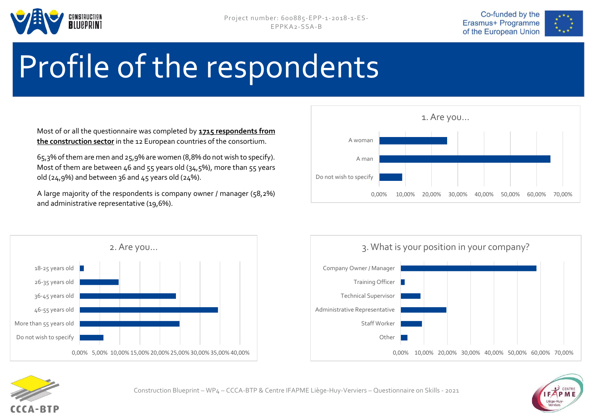





## Profile of the respondents

Most of or all the questionnaire was completed by **1715 respondents from the construction sector** in the 12 European countries of the consortium.

65,3% of them are men and 25,9% are women (8,8% do not wish to specify). Most of them are between 46 and 55 years old (34,5%), more than 55 years old (24,9%) and between 36 and  $45$  years old (24%).

A large majority of the respondents is company owner / manager (58,2%) and administrative representative (19,6%).









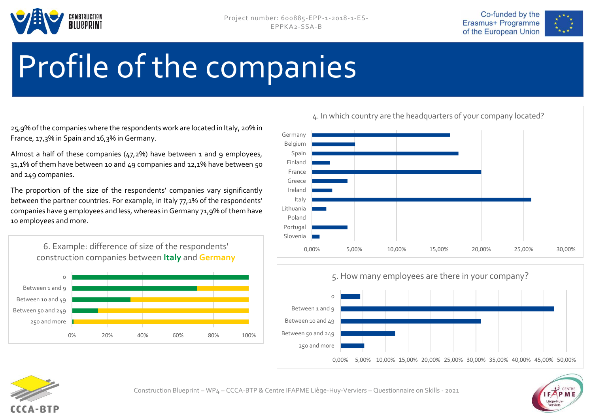





### Profile of the companies

25,9% of the companies where the respondents work are located in Italy, 20% in France, 17,3% in Spain and 16,3% in Germany.

Almost a half of these companies (47,2%) have between 1 and 9 employees, 31,1% of them have between 10 and 49 companies and 12,1% have between 50 and 249 companies.

The proportion of the size of the respondents' companies vary significantly between the partner countries. For example, in Italy 77,1% of the respondents' companies have 9 employees and less, whereas in Germany 71,9% of them have 10 employees and more.









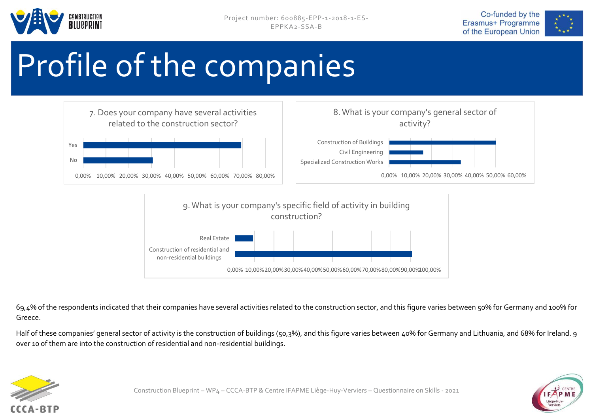





## Profile of the companies



69,4% of the respondents indicated that their companies have several activities related to the construction sector, and this figure varies between 50% for Germany and 100% for Greece.

Half of these companies' general sector of activity is the construction of buildings (50,3%), and this figure varies between 40% for Germany and Lithuania, and 68% for Ireland. 9 over 10 of them are into the construction of residential and non-residential buildings.



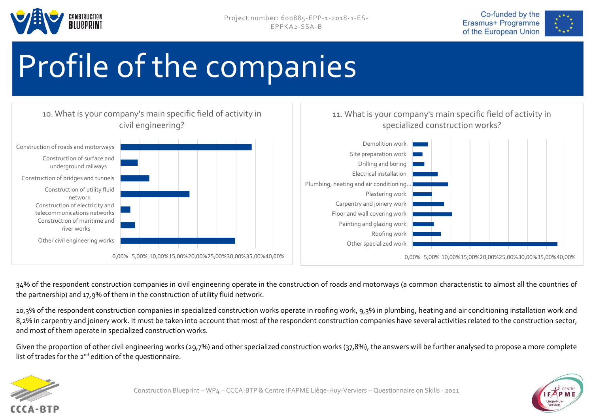





## Profile of the companies



34% of the respondent construction companies in civil engineering operate in the construction of roads and motorways (a common characteristic to almost all the countries of the partnership) and 17,9% of them in the construction of utility fluid network.

10,3% of the respondent construction companies in specialized construction works operate in roofing work, 9,3% in plumbing, heating and air conditioning installation work and 8,2% in carpentry and joinery work. It must be taken into account that most of the respondent construction companies have several activities related to the construction sector, and most of them operate in specialized construction works.

Given the proportion of other civil engineering works (29,7%) and other specialized construction works (37,8%), the answers will be further analysed to propose a more complete list of trades for the  $2^{nd}$  edition of the questionnaire.



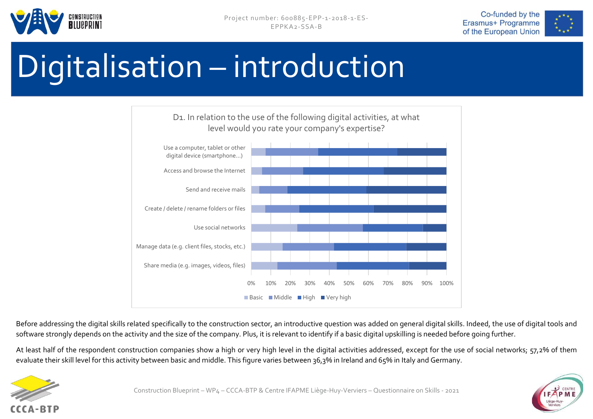





## Digitalisation – introduction



Before addressing the digital skills related specifically to the construction sector, an introductive question was added on general digital skills. Indeed, the use of digital tools and software strongly depends on the activity and the size of the company. Plus, it is relevant to identify if a basic digital upskilling is needed before going further.

At least half of the respondent construction companies show a high or very high level in the digital activities addressed, except for the use of social networks; 57,2% of them evaluate their skill level for this activity between basic and middle. This figure varies between 36,3% in Ireland and 65% in Italy and Germany.



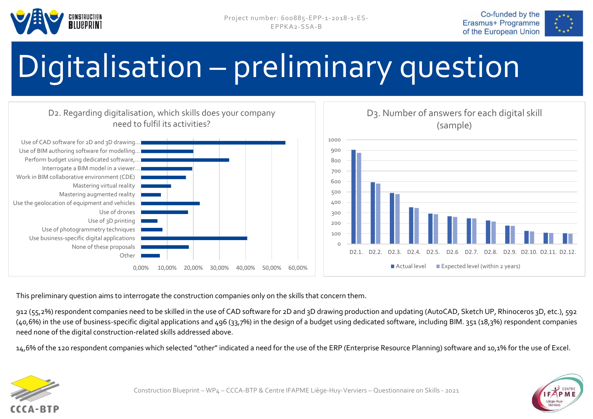





## Digitalisation – preliminary question



This preliminary question aims to interrogate the construction companies only on the skills that concern them.

912 (55,2%) respondent companies need to be skilled in the use of CAD software for 2D and 3D drawing production and updating (AutoCAD, Sketch UP, Rhinoceros 3D, etc.), 592 (40,6%) in the use of business-specific digital applications and 496 (33,7%) in the design of a budget using dedicated software, including BIM. 351 (18,3%) respondent companies need none of the digital construction-related skills addressed above.

14,6% of the 120 respondent companies which selected "other" indicated a need for the use of the ERP (Enterprise Resource Planning) software and 10,1% for the use of Excel.





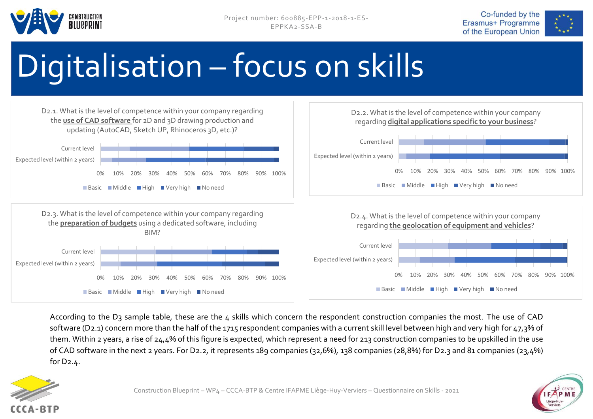





## Digitalisation – focus on skills



According to the D3 sample table, these are the 4 skills which concern the respondent construction companies the most. The use of CAD software (D2.1) concern more than the half of the 1715 respondent companies with a current skill level between high and very high for 47,3% of them. Within 2 years, a rise of 24,4% of this figure is expected, which represent a need for 213 construction companies to be upskilled in the use of CAD software in the next 2 years. For D2.2, it represents 189 companies (32,6%), 138 companies (28,8%) for D2.3 and 81 companies (23,4%) for D2.4.



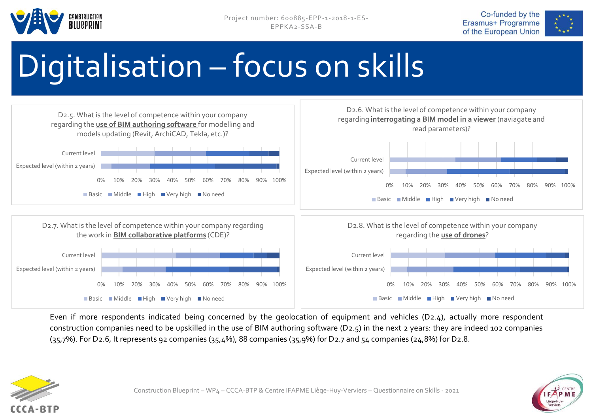





## Digitalisation – focus on skills



Even if more respondents indicated being concerned by the geolocation of equipment and vehicles (D2.4), actually more respondent construction companies need to be upskilled in the use of BIM authoring software (D2.5) in the next 2 years: they are indeed 102 companies  $(35,7%)$ . For D2.6, It represents 92 companies  $(35,4%)$ , 88 companies  $(35,9%)$  for D2.7 and  $54$  companies  $(24,8%)$  for D2.8.



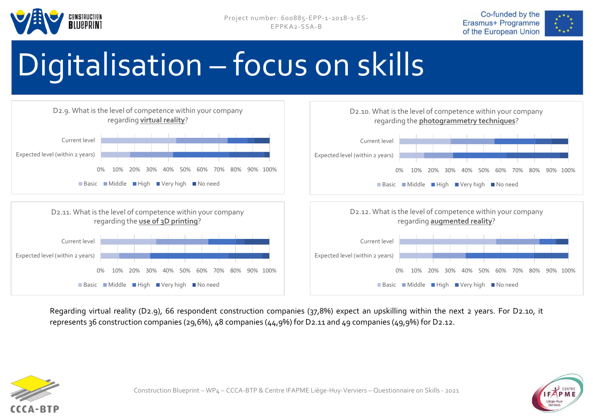





## Digitalisation – focus on skills



Regarding virtual reality (D2.9), 66 respondent construction companies (37,8%) expect an upskilling within the next 2 years. For D2.10, it represents 36 construction companies (29,6%), 48 companies (44,9%) for D2.11 and 49 companies (49,9%) for D2.12.



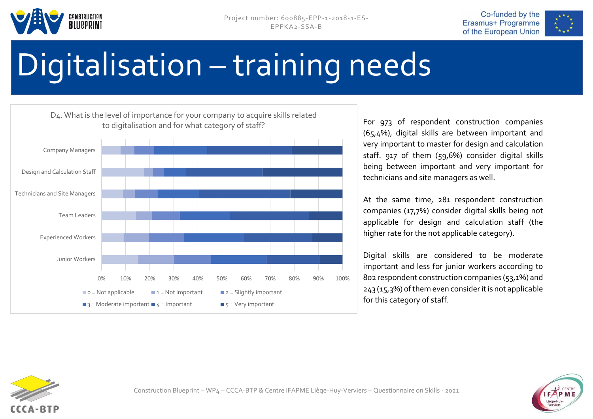





## Digitalisation – training needs



For 973 of respondent construction companies (65,4%), digital skills are between important and very important to master for design and calculation staff. 917 of them (59,6%) consider digital skills being between important and very important for technicians and site managers as well.

At the same time, 281 respondent construction companies (17,7%) consider digital skills being not applicable for design and calculation staff (the higher rate for the not applicable category).

Digital skills are considered to be moderate important and less for junior workers according to 802 respondent construction companies (53,1%) and 243 (15,3%) ofthem even consider it is not applicable for this category of staff.



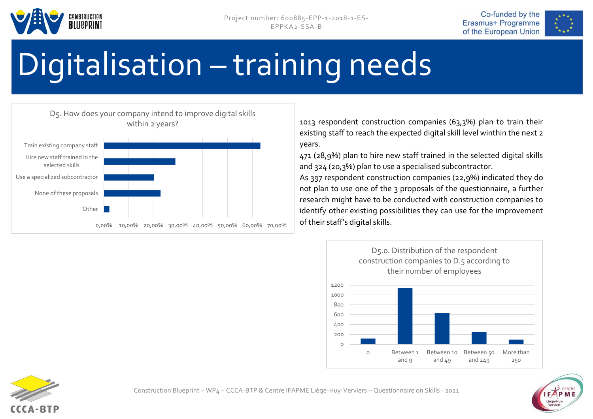





## Digitalisation – training needs



1013 respondent construction companies (63,3%) plan to train their existing staff to reach the expected digital skill level winthin the next 2 years.

471 (28,9%) plan to hire new staff trained in the selected digital skills and 324 (20,3%) plan to use a specialised subcontractor.

As 397 respondent construction companies (22,9%) indicated they do not plan to use one of the 3 proposals of the questionnaire, a further research might have to be conducted with construction companies to identify other existing possibilities they can use for the improvement





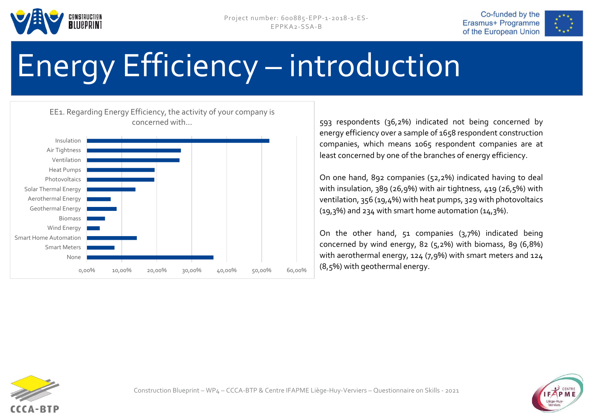





# Energy Efficiency – introduction

0,00% 10,00% 20,00% 30,00% 40,00% 50,00% 60,00% None Smart Meters Smart Home Automation Wind Energy Biomass Geothermal Energy Aerothermal Energy Solar Thermal Energy **Photovoltaics** Heat Pumps Ventilation Air Tightness Insulation EE1. Regarding Energy Efficiency, the activity of your company is concerned with...

593 respondents (36,2%) indicated not being concerned by energy efficiency over a sample of 1658 respondent construction companies, which means 1065 respondent companies are at least concerned by one of the branches of energy efficiency.

On one hand, 892 companies (52,2%) indicated having to deal with insulation, 389 (26,9%) with air tightness, 419 (26,5%) with ventilation, 356 (19,4%) with heat pumps, 329 with photovoltaics (19,3%) and 234 with smart home automation (14,3%).

On the other hand, 51 companies (3,7%) indicated being concerned by wind energy, 82 (5,2%) with biomass, 89 (6,8%) with aerothermal energy, 124 (7,9%) with smart meters and 124 (8,5%) with geothermal energy.



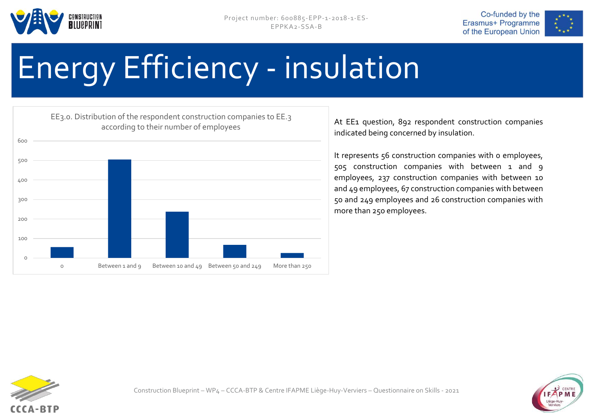







At EE<sub>1</sub> question, 892 respondent construction companies indicated being concerned by insulation.

It represents 56 construction companies with 0 employees, 505 construction companies with between 1 and 9 employees, 237 construction companies with between 10 and 49 employees, 67 construction companies with between 50 and 249 employees and 26 construction companies with more than 250 employees.



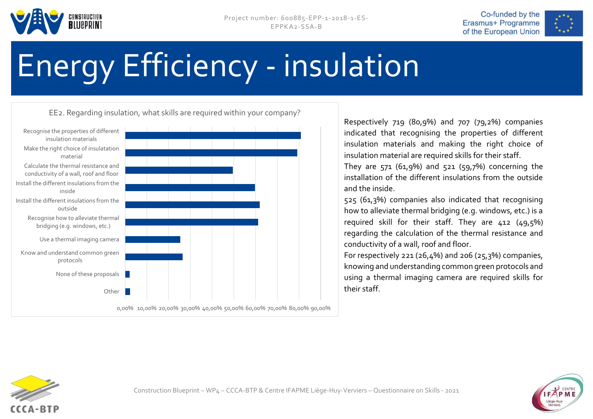





0,00% 10,00% 20,00% 30,00% 40,00% 50,00% 60,00% 70,00% 80,00% 90,00% Other | None of these proposals Know and understand common green protocols Use a thermal imaging camera Recognise how to alleviate thermal bridging (e.g. windows, etc.) Install the different insulations from the outside Install the different insulations from the inside Calculate the thermal resistance and conductivity of a wall, roof and floor Make the right choice of insulatation material Recognise the properties of different insulation materials EE2. Regarding insulation, what skills are required within your company?

Respectively 719 (80,9%) and 707 (79,2%) companies indicated that recognising the properties of different insulation materials and making the right choice of insulation material are required skills for their staff.

They are  $571$  (61,9%) and  $521$  ( $59,7%$ ) concerning the installation of the different insulations from the outside and the inside.

525 (61,3%) companies also indicated that recognising how to alleviate thermal bridging (e.g. windows, etc.) is a required skill for their staff. They are 412 (49,5%) regarding the calculation of the thermal resistance and conductivity of a wall, roof and floor.

For respectively 221 (26,4%) and 206 (25,3%) companies, knowing and understanding common green protocols and using a thermal imaging camera are required skills for their staff.



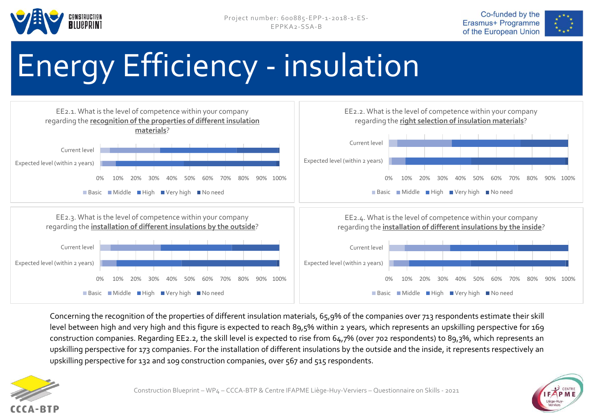







Concerning the recognition of the properties of different insulation materials, 65,9% of the companies over 713 respondents estimate their skill level between high and very high and this figure is expected to reach 89,5% within 2 years, which represents an upskilling perspective for 169 construction companies. Regarding EE2.2, the skill level is expected to rise from 64,7% (over 702 respondents) to 89,3%, which represents an upskilling perspective for 173 companies. For the installation of different insulations by the outside and the inside, it represents respectively an upskilling perspective for 132 and 109 construction companies, over 567 and 515 respondents.



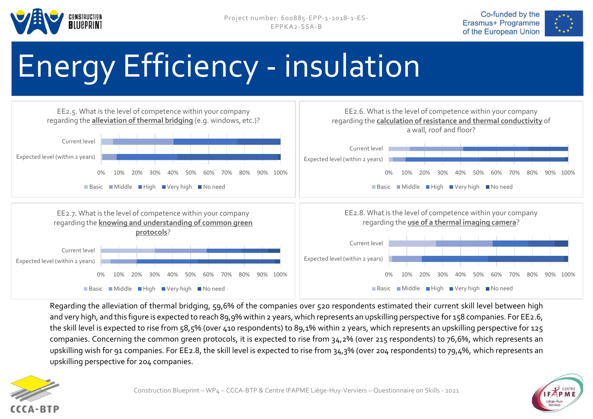







Regarding the alleviation of thermal bridging, 59,6% of the companies over 520 respondents estimated their current skill level between high and very high, and this figure is expected to reach 89,9% within 2 years, which represents an upskilling perspective for 158 companies. For EE2.6, the skill level is expected to rise from 58,5% (over 410 respondents) to 89,1% within 2 years, which represents an upskilling perspective for 125 companies. Concerning the common green protocols, it is expected to rise from 34,2% (over 215 respondents) to 76,6%, which represents an upskilling wish for 91 companies. For EE2.8, the skill level is expected to rise from 34,3% (over 204 respondents) to 79,4%, which represents an upskilling perspective for 204 companies.



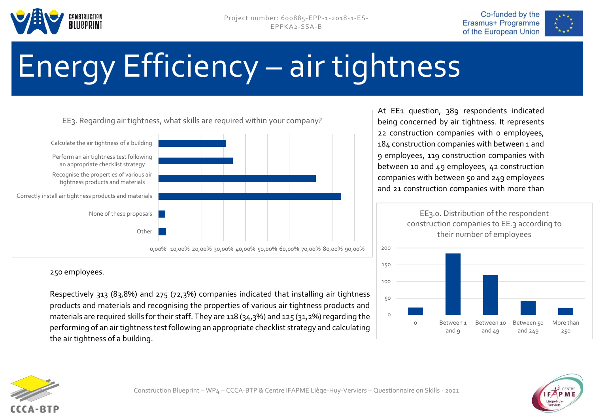





# Energy Efficiency – air tightness



250 employees.

Respectively 313 (83,8%) and 275 (72,3%) companies indicated that installing air tightness products and materials and recognising the properties of various air tightness products and materials are required skills for their staff. They are 118 (34,3%) and 125 (31,2%) regarding the performing of an air tightness test following an appropriate checklist strategy and calculating the air tightness of a building.

At EE1 question, 389 respondents indicated being concerned by air tightness. It represents 22 construction companies with 0 employees, 184 construction companies with between 1 and 9 employees, 119 construction companies with between 10 and 49 employees, 42 construction companies with between 50 and 249 employees and 21 construction companies with more than

> EE3.0. Distribution of the respondent construction companies to EE.3 according to their number of employees





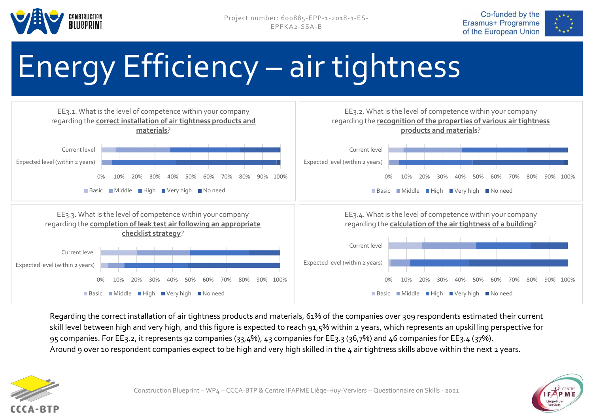





# Energy Efficiency – air tightness



Regarding the correct installation of air tightness products and materials, 61% of the companies over 309 respondents estimated their current skill level between high and very high, and this figure is expected to reach 91,5% within 2 years, which represents an upskilling perspective for 95 companies. For EE3.2, it represents 92 companies (33,4%), 43 companies for EE3.3 (36,7%) and 46 companies for EE3.4 (37%). Around 9 over 10 respondent companies expect to be high and very high skilled in the 4 air tightness skills above within the next 2 years.



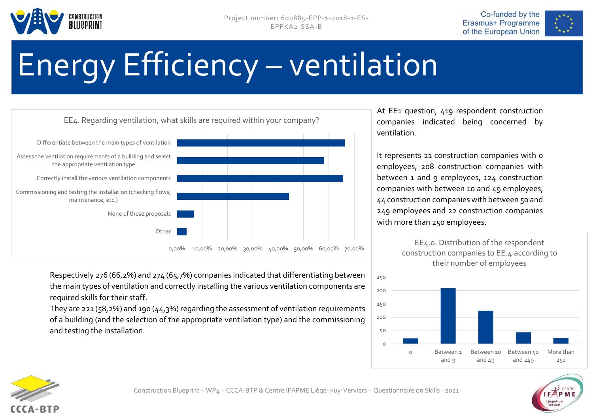





# Energy Efficiency – ventilation



Respectively 276 (66,2%) and 274 (65,7%) companies indicated that differentiating between the main types of ventilation and correctly installing the various ventilation components are required skills for their staff.

They are 221 (58,2%) and 190 (44,3%) regarding the assessment of ventilation requirements of a building (and the selection of the appropriate ventilation type) and the commissioning and testing the installation.

At EE1 question, 419 respondent construction companies indicated being concerned by ventilation.

It represents 21 construction companies with 0 employees, 208 construction companies with between 1 and 9 employees, 124 construction companies with between 10 and 49 employees, 44 construction companies with between 50 and 249 employees and 22 construction companies with more than 250 employees.





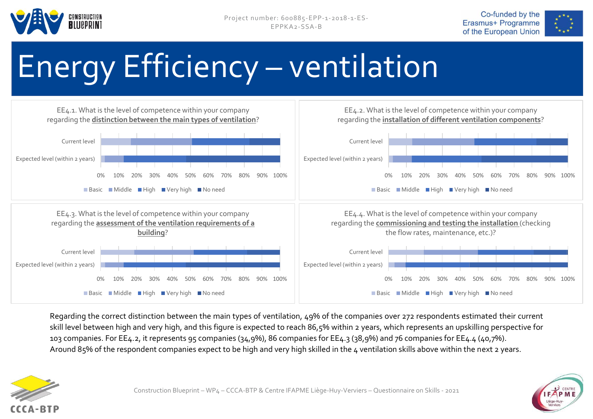





# Energy Efficiency – ventilation



Regarding the correct distinction between the main types of ventilation, 49% of the companies over 272 respondents estimated their current skill level between high and very high, and this figure is expected to reach 86,5% within 2 years, which represents an upskilling perspective for 103 companies. For EE4.2, it represents 95 companies (34,9%), 86 companies for EE4.3 (38,9%) and 76 companies for EE4.4 (40,7%). Around 85% of the respondent companies expect to be high and very high skilled in the 4 ventilation skills above within the next 2 years.



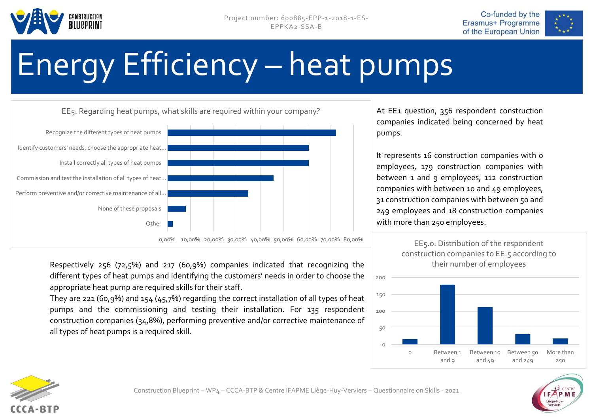





## Energy Efficiency – heat pumps



Respectively 256 (72,5%) and 217 (60,9%) companies indicated that recognizing the different types of heat pumps and identifying the customers' needs in order to choose the appropriate heat pump are required skills for their staff.

They are 221 (60,9%) and 154 (45,7%) regarding the correct installation of all types of heat pumps and the commissioning and testing their installation. For 135 respondent construction companies (34,8%), performing preventive and/or corrective maintenance of all types of heat pumps is a required skill.

At EE1 question, 356 respondent construction companies indicated being concerned by heat pumps.

It represents 16 construction companies with 0 employees, 179 construction companies with between 1 and 9 employees, 112 construction companies with between 10 and 49 employees, 31 construction companies with between 50 and 249 employees and 18 construction companies with more than 250 employees.

200







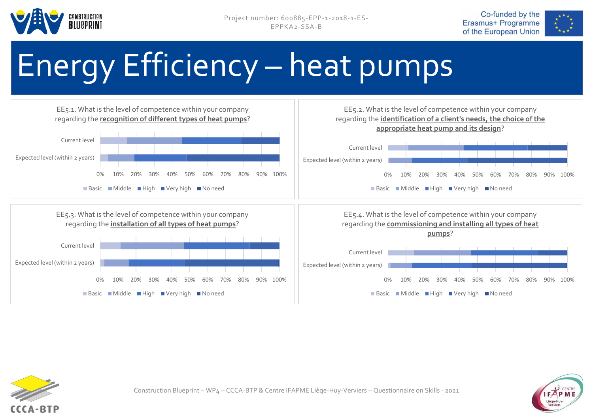





# Energy Efficiency – heat pumps





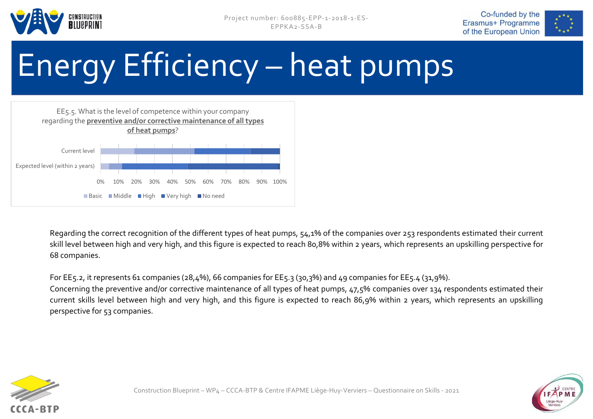





# Energy Efficiency – heat pumps



Regarding the correct recognition of the different types of heat pumps, 54,1% of the companies over 253 respondents estimated their current skill level between high and very high, and this figure is expected to reach 80,8% within 2 years, which represents an upskilling perspective for 68 companies.

For EE5.2, it represents 61 companies (28,4%), 66 companies for EE5.3 (30,3%) and 49 companies for EE5.4 (31,9%).

Concerning the preventive and/or corrective maintenance of all types of heat pumps, 47,5% companies over 134 respondents estimated their current skills level between high and very high, and this figure is expected to reach 86,9% within 2 years, which represents an upskilling perspective for 53 companies.



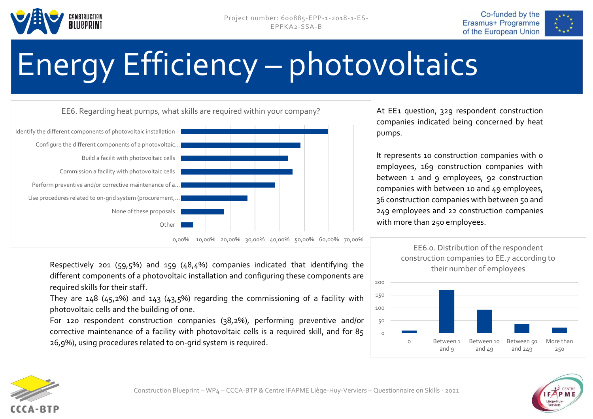





# Energy Efficiency – photovoltaics



Respectively 201 (59,5%) and 159 (48,4%) companies indicated that identifying the different components of a photovoltaic installation and configuring these components are required skills for their staff.

They are  $148$  ( $45,2\%$ ) and  $143$  ( $43,5\%$ ) regarding the commissioning of a facility with photovoltaic cells and the building of one.

For 120 respondent construction companies (38,2%), performing preventive and/or corrective maintenance of a facility with photovoltaic cells is a required skill, and for 85 26,9%), using procedures related to on-grid system is required.

At EE1 question, 329 respondent construction companies indicated being concerned by heat pumps.

It represents 10 construction companies with 0 employees, 169 construction companies with between 1 and 9 employees, 92 construction companies with between 10 and 49 employees, 36 construction companies with between 50 and 249 employees and 22 construction companies with more than 250 employees.





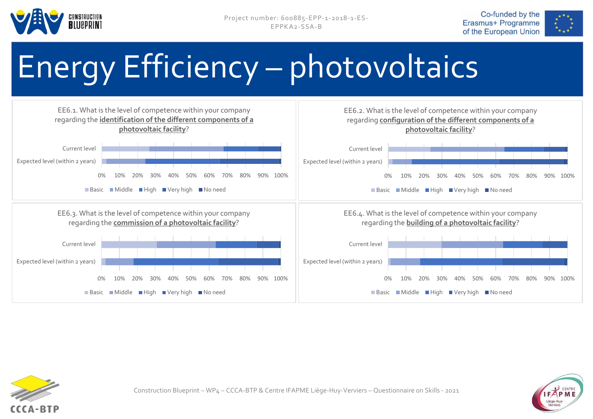





# Energy Efficiency – photovoltaics





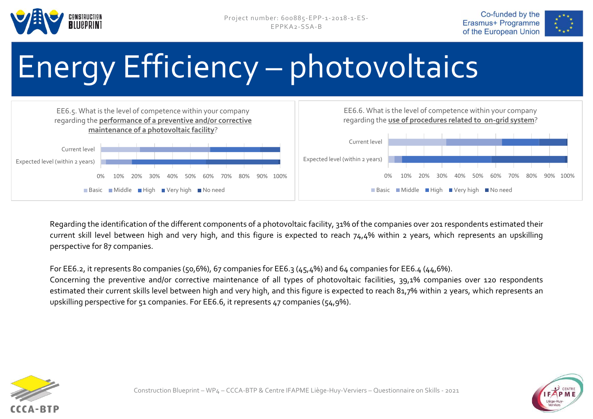





# Energy Efficiency – photovoltaics



Regarding the identification of the different components of a photovoltaic facility, 31% of the companies over 201 respondents estimated their current skill level between high and very high, and this figure is expected to reach 74,4% within 2 years, which represents an upskilling perspective for 87 companies.

For EE6.2, it represents 80 companies (50,6%), 67 companies for EE6.3 (45,4%) and 64 companies for EE6.4 (44,6%).

Concerning the preventive and/or corrective maintenance of all types of photovoltaic facilities, 39,1% companies over 120 respondents estimated their current skills level between high and very high, and this figure is expected to reach 81,7% within 2 years, which represents an upskilling perspective for 51 companies. For EE6.6, it represents 47 companies (54,9%).



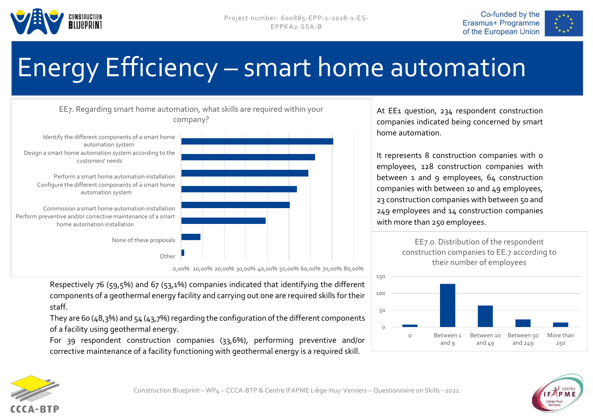





### Energy Efficiency – smart home automation



Respectively 76 (59,5%) and 67 (53,1%) companies indicated that identifying the different components of a geothermal energy facility and carrying out one are required skills for their staff.

They are 60 (48,3%) and 54 (43,7%) regarding the configuration of the different components of a facility using geothermal energy.

For 39 respondent construction companies (33,6%), performing preventive and/or corrective maintenance of a facility functioning with geothermal energy is a required skill.

At EE1 question, 234 respondent construction companies indicated being concerned by smart home automation.

It represents 8 construction companies with o employees, 128 construction companies with between 1 and 9 employees, 64 construction companies with between 10 and 49 employees, 23 construction companies with between 50 and 249 employees and 14 construction companies with more than 250 employees.





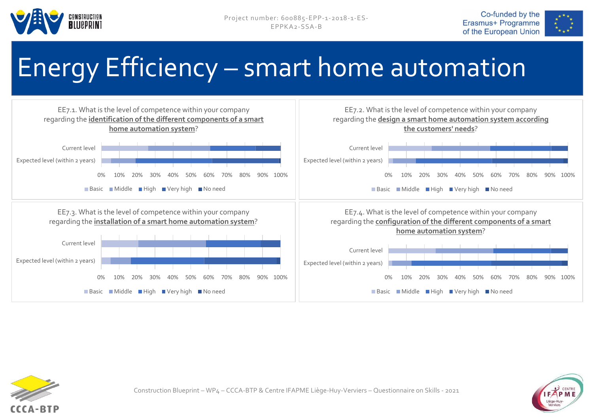





#### Energy Efficiency – smart home automation





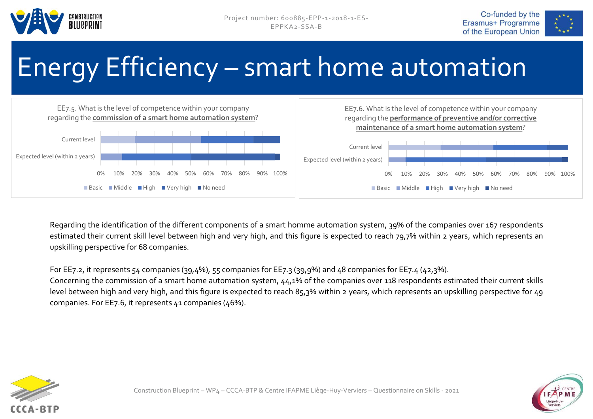





### Energy Efficiency – smart home automation



Regarding the identification of the different components of a smart homme automation system, 39% of the companies over 167 respondents estimated their current skill level between high and very high, and this figure is expected to reach 79,7% within 2 years, which represents an upskilling perspective for 68 companies.

#### For EE7.2, it represents 54 companies (39,4%), 55 companies for EE7.3 (39,9%) and 48 companies for EE7.4 (42,3%).

Concerning the commission of a smart home automation system, 44,1% of the companies over 118 respondents estimated their current skills level between high and very high, and this figure is expected to reach 85,3% within 2 years, which represents an upskilling perspective for 49 companies. For EE7.6, it represents  $\mu$ 1 companies ( $\mu$ 6%).



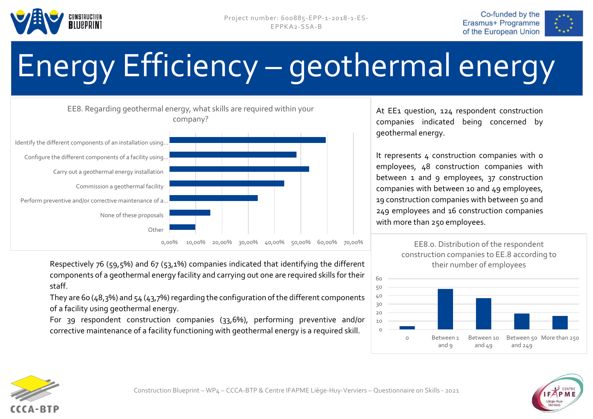





# Energy Efficiency – geothermal energy



Respectively 76 (59,5%) and 67 (53,1%) companies indicated that identifying the different components of a geothermal energy facility and carrying out one are required skills for their staff.

They are 60 (48,3%) and 54 (43,7%) regarding the configuration of the different components of a facility using geothermal energy.

For 39 respondent construction companies (33,6%), performing preventive and/or corrective maintenance of a facility functioning with geothermal energy is a required skill.

At EE1 question, 124 respondent construction companies indicated being concerned by geothermal energy.

It represents 4 construction companies with o employees, 48 construction companies with between 1 and 9 employees, 37 construction companies with between 10 and 49 employees, 19 construction companies with between 50 and 249 employees and 16 construction companies with more than 250 employees.







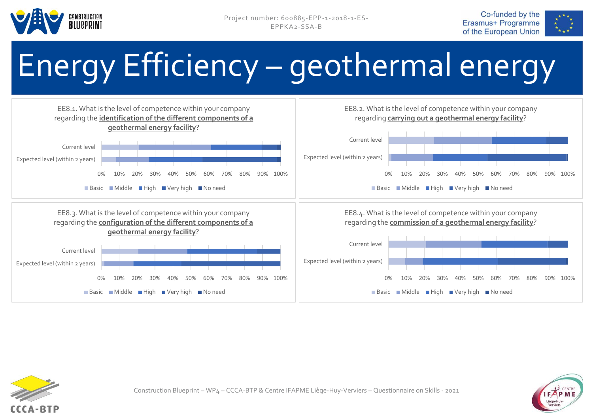

Project number: 600885-EPP-1-2018-1-ES-EPPKA2-SSA-B





# Energy Efficiency – geothermal energy





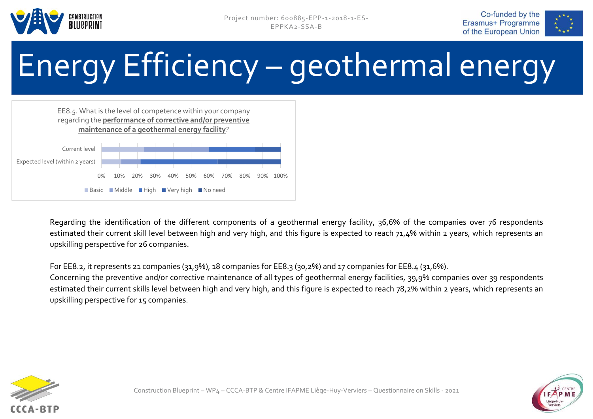





# Energy Efficiency – geothermal energy



Regarding the identification of the different components of a geothermal energy facility, 36,6% of the companies over 76 respondents estimated their current skill level between high and very high, and this figure is expected to reach 71,4% within 2 years, which represents an upskilling perspective for 26 companies.

For EE8.2, it represents 21 companies (31,9%), 18 companies for EE8.3 (30,2%) and 17 companies for EE8.4 (31,6%).

Concerning the preventive and/or corrective maintenance of all types of geothermal energy facilities, 39,9% companies over 39 respondents estimated their current skills level between high and very high, and this figure is expected to reach 78,2% within 2 years, which represents an upskilling perspective for 15 companies.



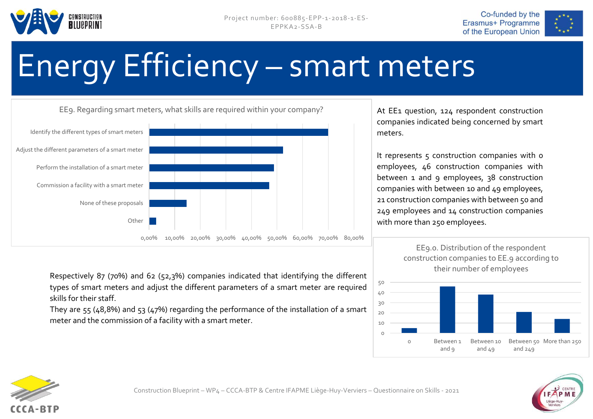





# Energy Efficiency – smart meters



Respectively 87 (70%) and 62 (52,3%) companies indicated that identifying the different types of smart meters and adjust the different parameters of a smart meter are required skills for their staff.

They are 55 (48,8%) and 53 (47%) regarding the performance of the installation of a smart meter and the commission of a facility with a smart meter.

At EE1 question, 124 respondent construction companies indicated being concerned by smart meters.

It represents 5 construction companies with o employees, 46 construction companies with between 1 and 9 employees, 38 construction companies with between 10 and 49 employees, 21 construction companies with between 50 and 249 employees and 14 construction companies with more than 250 employees.





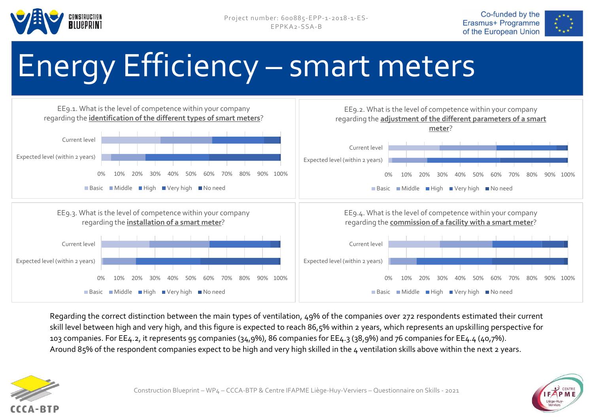





# Energy Efficiency – smart meters



Regarding the correct distinction between the main types of ventilation, 49% of the companies over 272 respondents estimated their current skill level between high and very high, and this figure is expected to reach 86,5% within 2 years, which represents an upskilling perspective for 103 companies. For EE4.2, it represents 95 companies (34,9%), 86 companies for EE4.3 (38,9%) and 76 companies for EE4.4 (40,7%). Around 85% of the respondent companies expect to be high and very high skilled in the 4 ventilation skills above within the next 2 years.



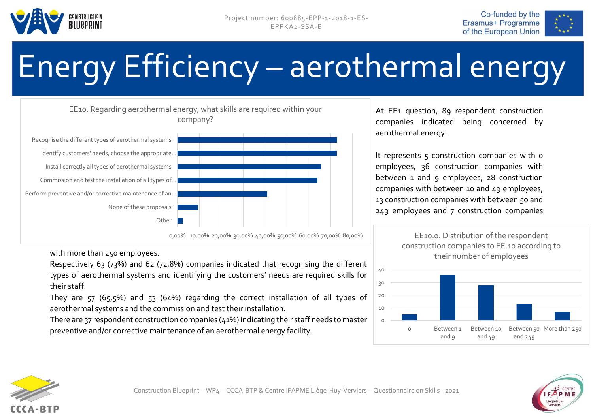





# Energy Efficiency – aerothermal energy



with more than 250 employees.

Respectively 63 (73%) and 62 (72,8%) companies indicated that recognising the different types of aerothermal systems and identifying the customers' needs are required skills for their staff.

They are 57 (65,5%) and 53 (64%) regarding the correct installation of all types of aerothermal systems and the commission and test their installation.

There are 37 respondent construction companies (41%) indicating their staff needs to master preventive and/or corrective maintenance of an aerothermal energy facility.

At EE1 question, 89 respondent construction companies indicated being concerned by aerothermal energy.

It represents 5 construction companies with 0 employees, 36 construction companies with between 1 and 9 employees, 28 construction companies with between 10 and 49 employees, 13 construction companies with between 50 and 249 employees and 7 construction companies



EE10.0. Distribution of the respondent



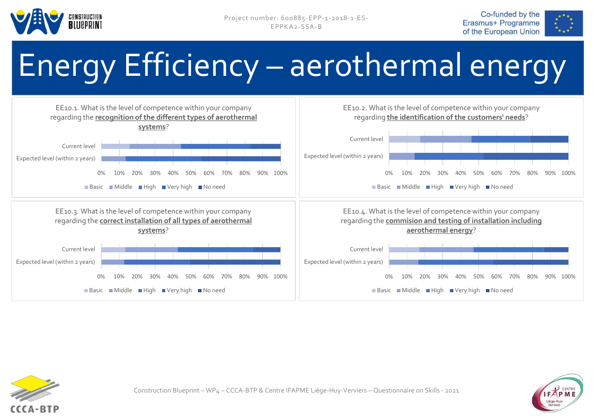

Project number: 600885-EPP-1-2018-1-ES-EPPKA2-SSA-B





# Energy Efficiency – aerothermal energy





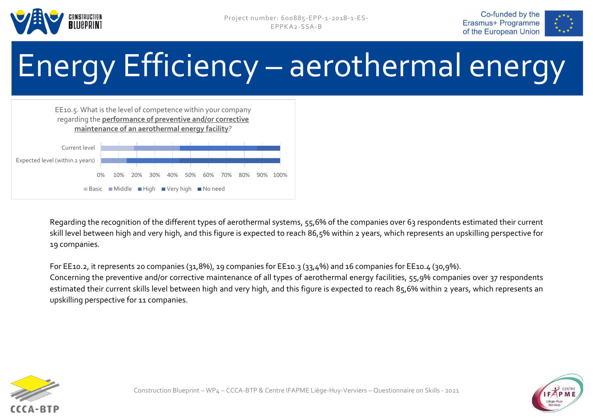

Project number: 600885-EPP-1-2018-1-ES-EPPKA2-SSA-B





# Energy Efficiency – aerothermal energy



Regarding the recognition of the different types of aerothermal systems, 55,6% of the companies over 63 respondents estimated their current skill level between high and very high, and this figure is expected to reach 86,5% within 2 years, which represents an upskilling perspective for 19 companies.

For EE10.2, it represents 20 companies (31,8%), 19 companies for EE10.3 (33,4%) and 16 companies for EE10.4 (30,9%). Concerning the preventive and/or corrective maintenance of all types of aerothermal energy facilities, 55,9% companies over 37 respondents estimated their current skills level between high and very high, and this figure is expected to reach 85,6% within 2 years, which represents an upskilling perspective for 11 companies.



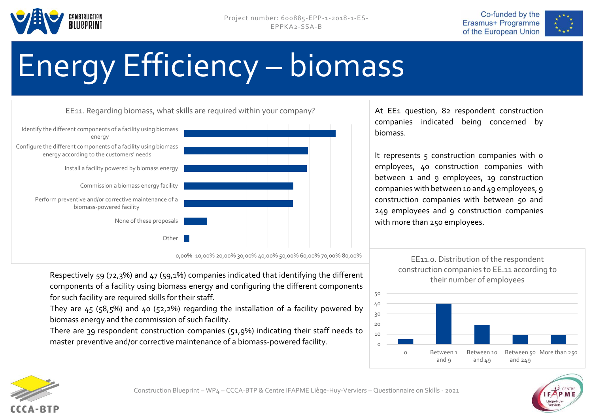





# Energy Efficiency – biomass



0,00% 10,00% 20,00% 30,00% 40,00% 50,00% 60,00% 70,00% 80,00%

Respectively 59 (72,3%) and 47 (59,1%) companies indicated that identifying the different components of a facility using biomass energy and configuring the different components for such facility are required skills for their staff.

They are  $45$  (58,5%) and  $40$  (52,2%) regarding the installation of a facility powered by biomass energy and the commission of such facility.

There are 39 respondent construction companies (51,9%) indicating their staff needs to master preventive and/or corrective maintenance of a biomass-powered facility.

At EE1 question, 82 respondent construction companies indicated being concerned by biomass.

It represents  $5$  construction companies with  $0$ employees, 40 construction companies with between 1 and 9 employees, 19 construction companies with between 10 and 49 employees, 9 construction companies with between 50 and 249 employees and 9 construction companies with more than 250 employees.

> EE11.0. Distribution of the respondent construction companies to EE.11 according to their number of employees





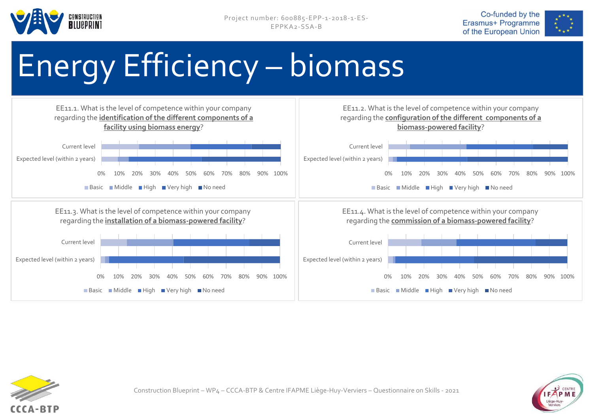





# Energy Efficiency – biomass





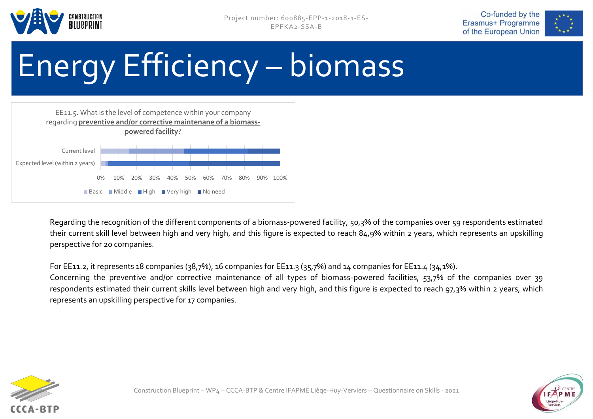





# Energy Efficiency – biomass



Regarding the recognition of the different components of a biomass-powered facility, 50,3% of the companies over 59 respondents estimated their current skill level between high and very high, and this figure is expected to reach 84,9% within 2 years, which represents an upskilling perspective for 20 companies.

For EE11.2, it represents 18 companies (38,7%), 16 companies for EE11.3 (35,7%) and 14 companies for EE11.4 (34,1%).

Concerning the preventive and/or corrective maintenance of all types of biomass-powered facilities, 53,7% of the companies over 39 respondents estimated their current skills level between high and very high, and this figure is expected to reach 97,3% within 2 years, which represents an upskilling perspective for 17 companies.



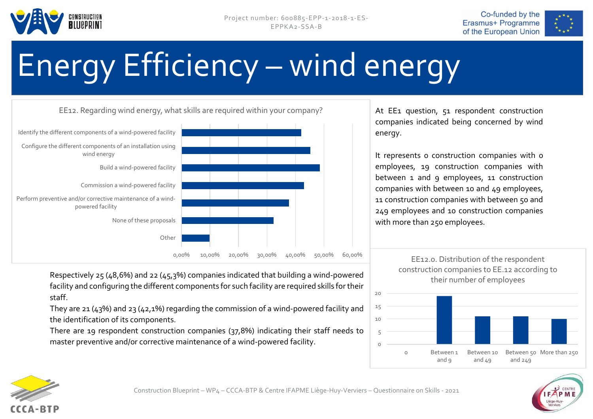





# Energy Efficiency – wind energy



At EE1 question, 51 respondent construction companies indicated being concerned by wind energy.

It represents o construction companies with o employees, 19 construction companies with between 1 and 9 employees, 11 construction companies with between 10 and 49 employees, 11 construction companies with between 50 and 249 employees and 10 construction companies with more than 250 employees.

Respectively 25 (48,6%) and 22 (45,3%) companies indicated that building a wind-powered facility and configuring the different components for such facility are required skills for their staff.

They are 21 (43%) and 23 (42,1%) regarding the commission of a wind-powered facility and the identification of its components.

There are 19 respondent construction companies (37,8%) indicating their staff needs to master preventive and/or corrective maintenance of a wind-powered facility.

EE12.0. Distribution of the respondent construction companies to EE.12 according to their number of employees





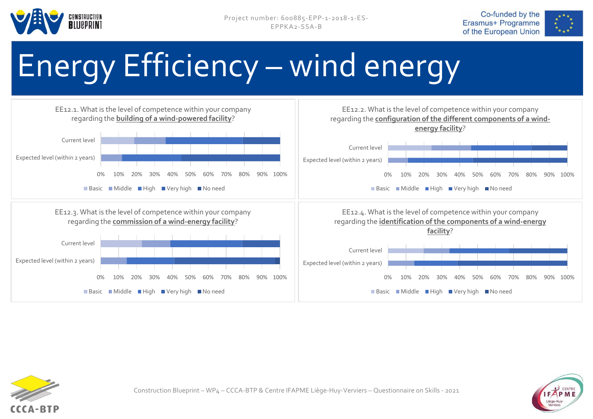





# Energy Efficiency – wind energy





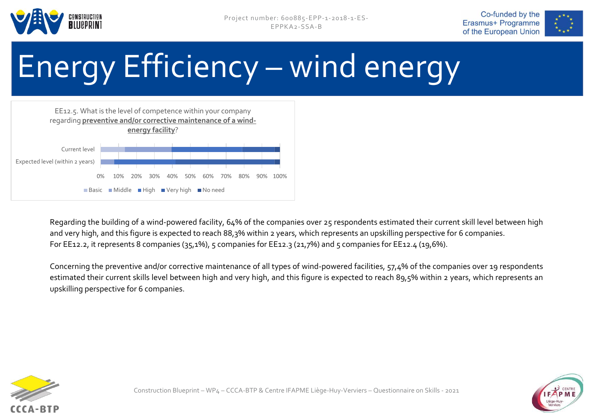





# Energy Efficiency – wind energy



Regarding the building of a wind-powered facility, 64% of the companies over 25 respondents estimated their current skill level between high and very high, and this figure is expected to reach 88,3% within 2 years, which represents an upskilling perspective for 6 companies. For EE12.2, it represents 8 companies (35,1%), 5 companies for EE12.3 (21,7%) and 5 companies for EE12.4 (19,6%).

Concerning the preventive and/or corrective maintenance of all types of wind-powered facilities, 57,4% of the companies over 19 respondents estimated their current skills level between high and very high, and this figure is expected to reach 89,5% within 2 years, which represents an upskilling perspective for 6 companies.



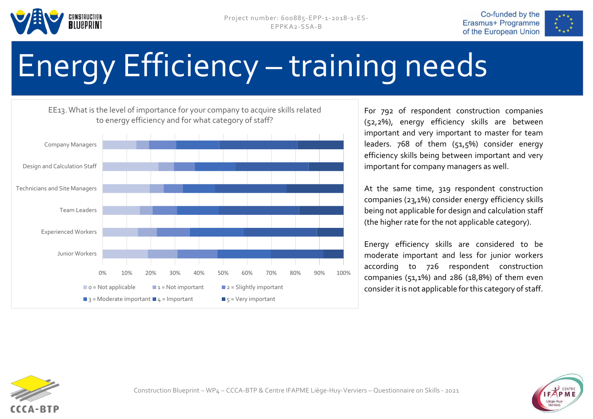





# Energy Efficiency – training needs

EE13. What is the level of importance for your company to acquire skills related to energy efficiency and for what category of staff?



For 792 of respondent construction companies (52,2%), energy efficiency skills are between important and very important to master for team leaders. 768 of them (51,5%) consider energy efficiency skills being between important and very important for company managers as well.

At the same time, 319 respondent construction companies (23,1%) consider energy efficiency skills being not applicable for design and calculation staff (the higher rate for the not applicable category).

Energy efficiency skills are considered to be moderate important and less for junior workers according to 726 respondent construction companies (51,1%) and 286 (18,8%) of them even consider it is not applicable for this category of staff.



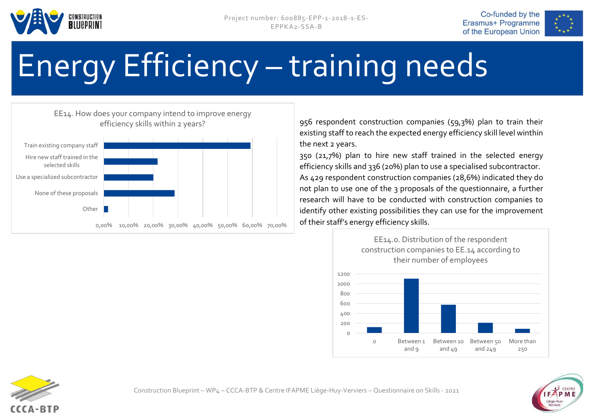





# Energy Efficiency – training needs

#### EE14. How does your company intend to improve energy efficiency skills within 2 years?



956 respondent construction companies (59,3%) plan to train their existing staff to reach the expected energy efficiency skill level winthin the next 2 years.

350 (21,7%) plan to hire new staff trained in the selected energy efficiency skills and 336 (20%) plan to use a specialised subcontractor. As 429 respondent construction companies (28,6%) indicated they do not plan to use one of the 3 proposals of the questionnaire, a further research will have to be conducted with construction companies to identify other existing possibilities they can use for the improvement of their staff's energy efficiency skills.





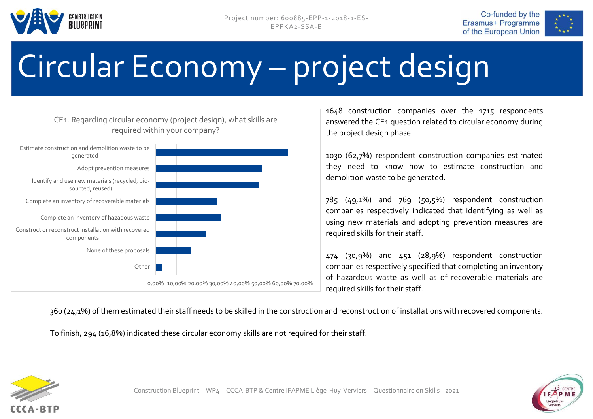







1648 construction companies over the 1715 respondents answered the CE1 question related to circular economy during the project design phase.

1030 (62,7%) respondent construction companies estimated they need to know how to estimate construction and demolition waste to be generated.

785 (49,1%) and 769 (50,5%) respondent construction companies respectively indicated that identifying as well as using new materials and adopting prevention measures are required skills for their staff.

474 (30,9%) and 451 (28,9%) respondent construction companies respectively specified that completing an inventory of hazardous waste as well as of recoverable materials are required skills for their staff.

360 (24,1%) of them estimated their staff needs to be skilled in the construction and reconstruction of installations with recovered components.

To finish, 294 (16,8%) indicated these circular economy skills are not required for their staff.



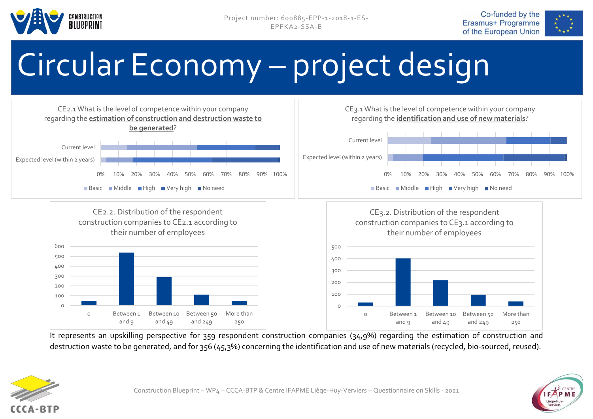







It represents an upskilling perspective for 359 respondent construction companies (34,9%) regarding the estimation of construction and destruction waste to be generated, and for 356 (45,3%) concerning the identification and use of new materials (recycled, bio-sourced, reused).



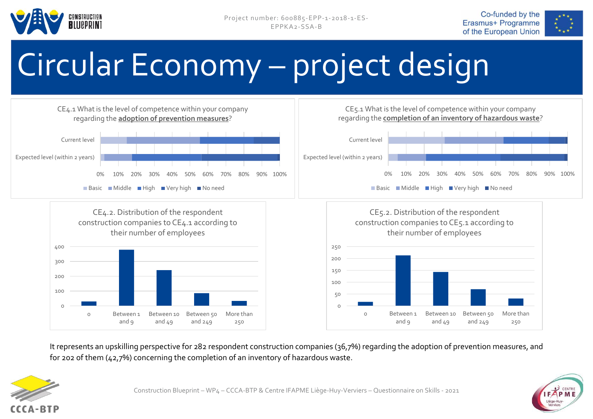







It represents an upskilling perspective for 282 respondent construction companies (36,7%) regarding the adoption of prevention measures, and for 202 of them (42,7%) concerning the completion of an inventory of hazardous waste.





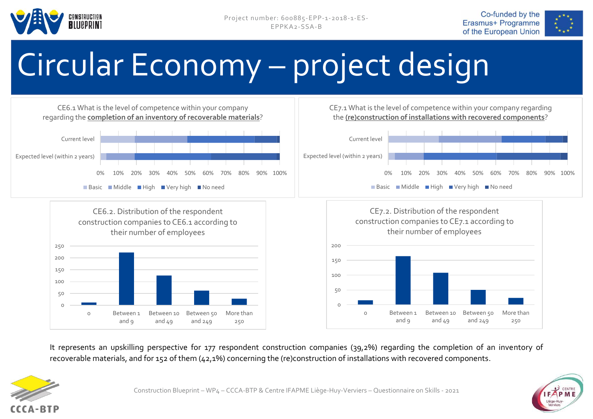







It represents an upskilling perspective for 177 respondent construction companies (39,2%) regarding the completion of an inventory of recoverable materials, and for 152 of them (42,1%) concerning the (re)construction of installations with recovered components.



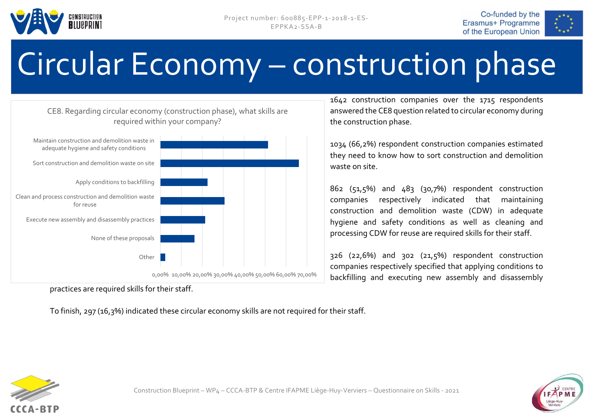







practices are required skills for their staff.

To finish, 297 (16,3%) indicated these circular economy skills are not required for their staff.

1642 construction companies over the 1715 respondents answered the CE8 question related to circular economy during the construction phase.

1034 (66,2%) respondent construction companies estimated they need to know how to sort construction and demolition waste on site.

862 (51,5%) and 483 (30,7%) respondent construction companies respectively indicated that maintaining construction and demolition waste (CDW) in adequate hygiene and safety conditions as well as cleaning and processing CDW for reuse are required skills for their staff.

326 (22,6%) and 302 (21,5%) respondent construction companies respectively specified that applying conditions to backfilling and executing new assembly and disassembly



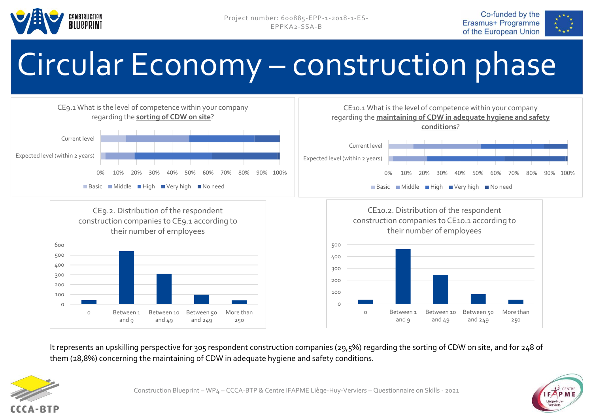







It represents an upskilling perspective for 305 respondent construction companies (29,5%) regarding the sorting of CDW on site, and for 248 of them (28,8%) concerning the maintaining of CDW in adequate hygiene and safety conditions.



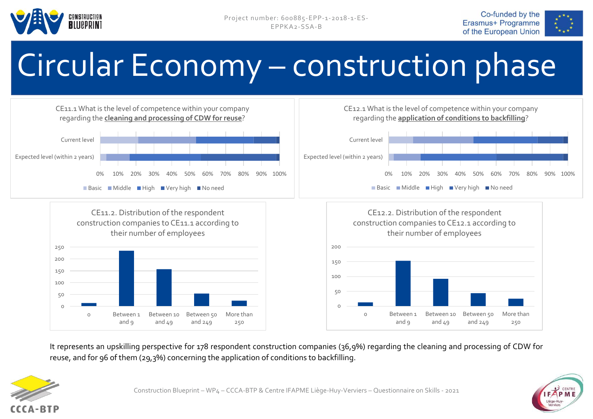







It represents an upskilling perspective for 178 respondent construction companies (36,9%) regarding the cleaning and processing of CDW for reuse, and for 96 of them (29,3%) concerning the application of conditions to backfilling.





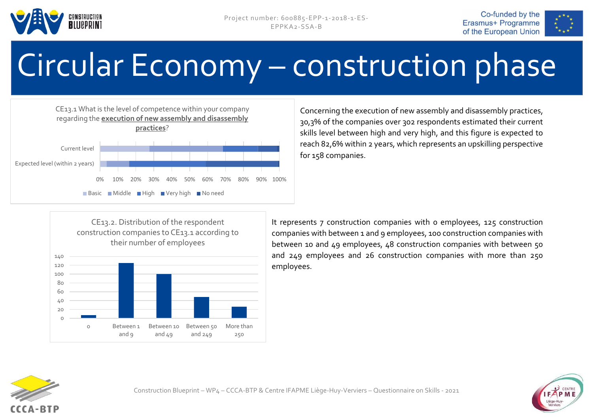







Concerning the execution of new assembly and disassembly practices, 30,3% of the companies over 302 respondents estimated their current skills level between high and very high, and this figure is expected to reach 82,6% within 2 years, which represents an upskilling perspective for 158 companies.



It represents 7 construction companies with 0 employees, 125 construction companies with between 1 and 9 employees, 100 construction companies with between 10 and 49 employees, 48 construction companies with between 50 and 249 employees and 26 construction companies with more than 250 employees.



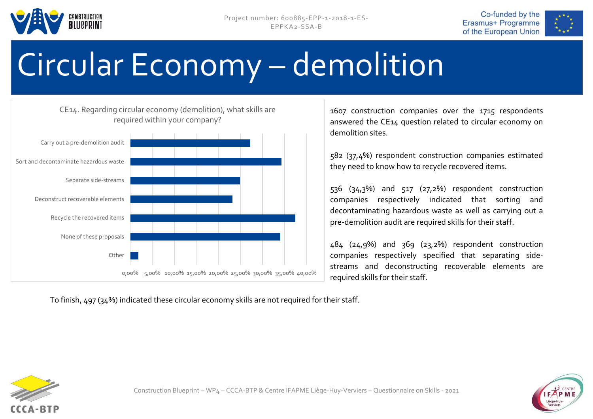







1607 construction companies over the 1715 respondents answered the CE14 question related to circular economy on demolition sites.

582 (37,4%) respondent construction companies estimated they need to know how to recycle recovered items.

536 (34,3%) and 517 (27,2%) respondent construction companies respectively indicated that sorting and decontaminating hazardous waste as well as carrying out a pre-demolition audit are required skills for their staff.

484 (24,9%) and 369 (23,2%) respondent construction companies respectively specified that separating sidestreams and deconstructing recoverable elements are required skills for their staff.

To finish, 497 (34%) indicated these circular economy skills are not required for their staff.



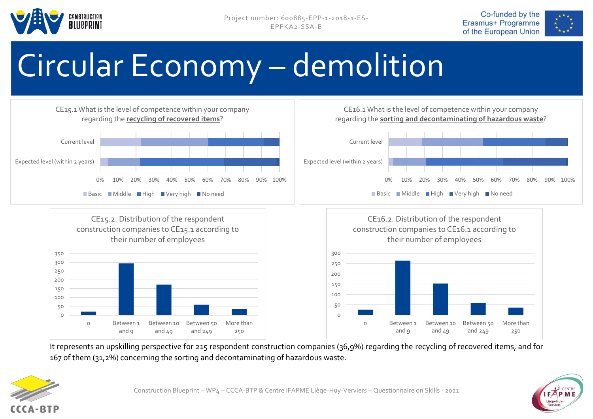







It represents an upskilling perspective for 215 respondent construction companies (36,9%) regarding the recycling of recovered items, and for 167 of them (31,2%) concerning the sorting and decontaminating of hazardous waste.



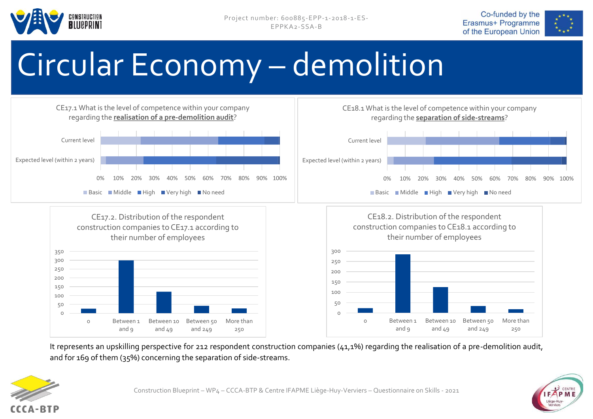







It represents an upskilling perspective for 212 respondent construction companies (41,1%) regarding the realisation of a pre-demolition audit, and for 169 of them (35%) concerning the separation of side-streams.



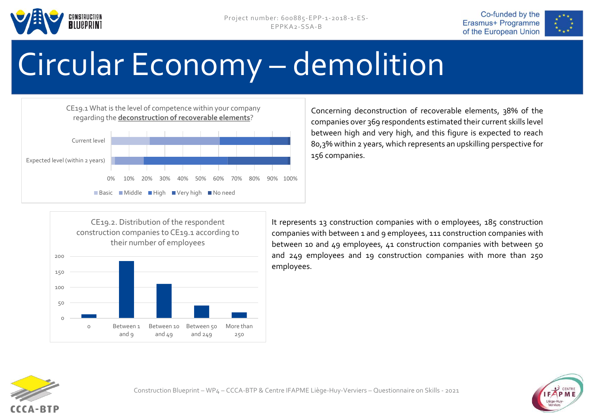







Concerning deconstruction of recoverable elements, 38% of the companies over 369 respondents estimated their current skills level between high and very high, and this figure is expected to reach 80,3% within 2 years, which represents an upskilling perspective for 156 companies.



It represents 13 construction companies with 0 employees, 185 construction companies with between 1 and 9 employees, 111 construction companies with between 10 and 49 employees, 41 construction companies with between 50 and 249 employees and 19 construction companies with more than 250 employees.



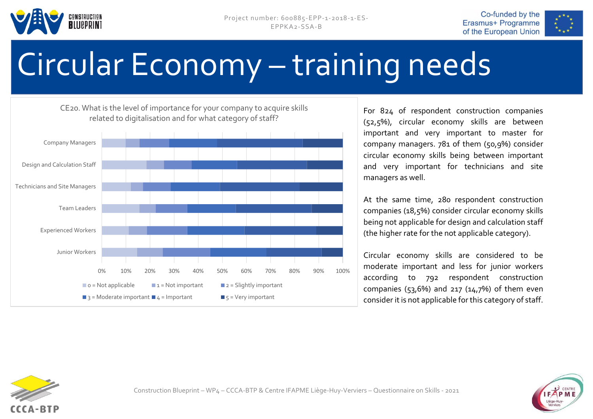





## Circular Economy – training needs

0% 10% 20% 30% 40% 50% 60% 70% 80% 90% 100% Junior Workers Experienced Workers Team Leaders Technicians and Site Managers Design and Calculation Staff Company Managers CE20. What is the level of importance for your company to acquire skills related to digitalisation and for what category of staff?  $\Box$  o = Not applicable  $\Box$  1 = Not important  $\Box$  2 = Slightly important  $\Box$  3 = Moderate important  $\Box$  4 = Important  $\Box$  5 = Very important

For 824 of respondent construction companies (52,5%), circular economy skills are between important and very important to master for company managers. 781 of them (50,9%) consider circular economy skills being between important and very important for technicians and site managers as well.

At the same time, 280 respondent construction companies (18,5%) consider circular economy skills being not applicable for design and calculation staff (the higher rate for the not applicable category).

Circular economy skills are considered to be moderate important and less for junior workers according to 792 respondent construction companies (53,6%) and 217 (14,7%) of them even consider it is not applicable for this category of staff.



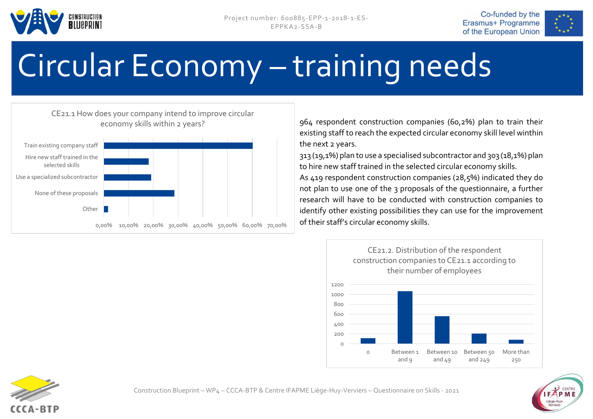





## Circular Economy – training needs

#### CE21.1 How does your company intend to improve circular economy skills within 2 years?



964 respondent construction companies (60,2%) plan to train their existing staff to reach the expected circular economy skill level winthin the next 2 years.

313 (19,1%) plan to use a specialised subcontractor and 303 (18,1%) plan to hire new staff trained in the selected circular economy skills.

As 419 respondent construction companies (28,5%) indicated they do not plan to use one of the 3 proposals of the questionnaire, a further research will have to be conducted with construction companies to identify other existing possibilities they can use for the improvement of their staff's circular economy skills.